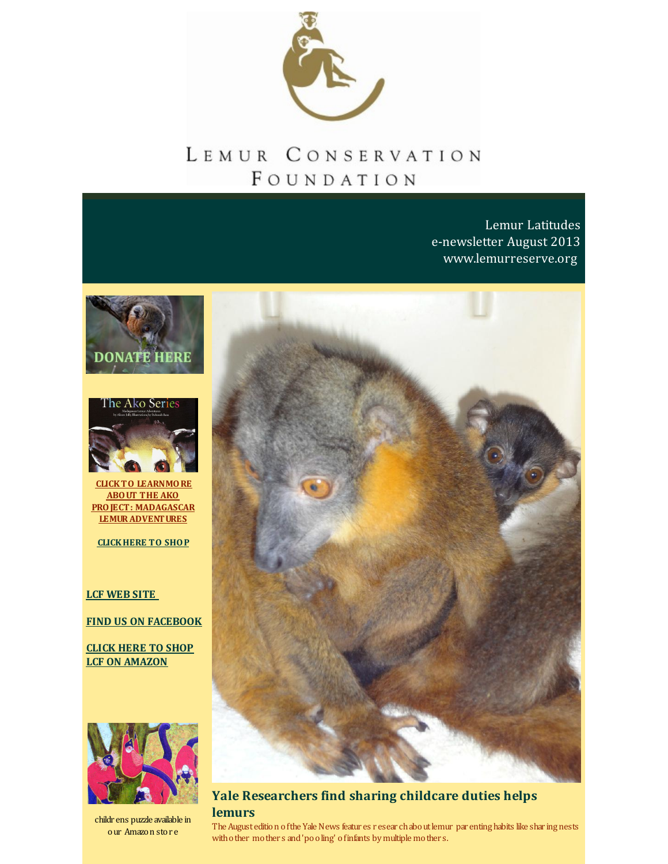

# LEMUR CONSERVATION FOUNDATION

Lemur Latitudes e-newsletter August 2013 [www.lemurreserve.org](http://www.lemurreserve.org)





**CLICKTO LEARNMORE ABOUT THE AKO PROJECT: MADAGASCAR [LEMURADVENTURES](http://r20.rs6.net/tn.jsp?f=001eqrCVjy5H7n3cBfFb77qtb5E9k8Pxn3LED523PR4qbdpmJ_ZIll_yNLLTrCDq38qSNGm3-5bpdarsj7MeYLll9lZ2UlNn_8nzmRPpG6nprK_ZRUsAyAtkK9hcT35SBD_uZuZ-dsfAkYKekaE2jP1_3TXLj-u-n750sBE6-M5FDxbSt2vE1MpumOpX5NZfyAJPMZpmr9vcxo=&c=&ch=)**

**[CLICKHERE](http://n-malagasy-shop-1355257814696.hostedbyamazon.com/) TO SHOP**

### **LCF [WEB](http://www.lemurreserve.org) SITE**

**FIND US ON [FACEBOOK](http://www.facebook.com/LemurConservation)**

**CLICK HERE TO SHOP LCF ON [AMAZON](http://r20.rs6.net/tn.jsp?f=001eqrCVjy5H7n3cBfFb77qtb5E9k8Pxn3LED523PR4qbdpmJ_ZIll_yCf0oARAG6PuJM-1xbDCculWnvG3hM4K7eXxcLgMuPoKIseIYM8-hhNYD3k0Rph5TdiR9P76P6TgxhjTy8wUcas-_ri8XHr-8ZdLWZktjaCgaqUZ5Mu2lFiO-GQqqa7Gv_RJqJuNzCDXLoVVMwgQGWLXqEYwvZhKhw==&c=&ch=)**



childr ens puzzle available in our Amazon stor e



**Yale Researchers find sharing childcare duties helps lemurs**

The August edition of the Yale News featur es r esear chabout lemur par enting habits like shar ing nests with o ther mother s and 'pooling' of infants by multiple mother s.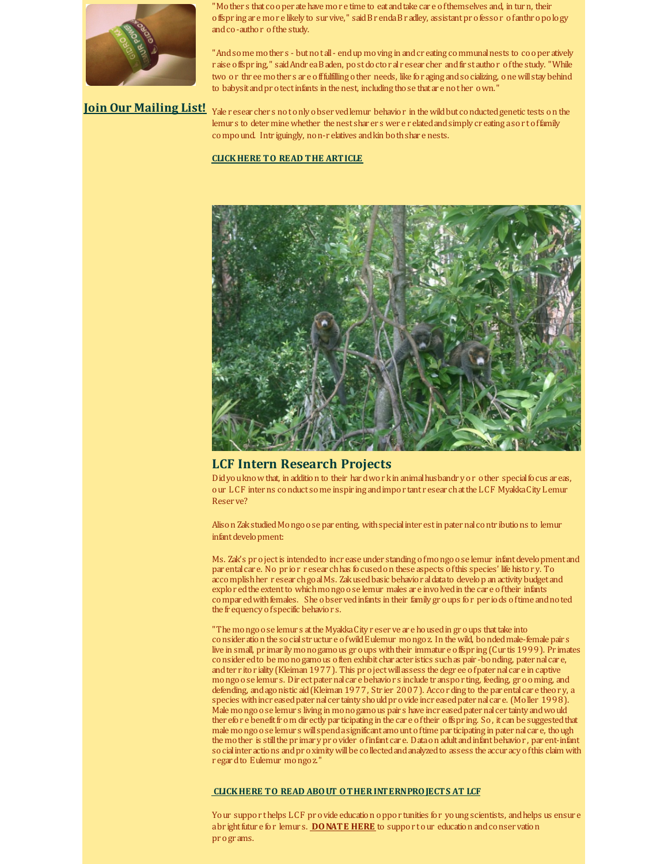

'Mother s that cooper ate have more time to eat and take care of themselves and, in turn, their offspr ing ar e mor e likely to sur vive," saidBr endaBr adley, assistantpr ofessor ofanthr opology andco-author ofthe study.

"Andsome mothers - but not all - endup moving in and creating communal nests to cooper atively r aise offspr ing," saidAndr eaBaden, postdoctor alr esear cher andfir stauthor ofthe study. "While two or thr ee mother s ar e offfulfilling other needs, like for aging andsocializing, onewillstay behind to babysit and protect infants in the nest, including those that are nother own."

**Join Our [Mailing](http://visitor.r20.constantcontact.com/email.jsp?m=1110407556333) List!** Yale r esear cher s notonly obser vedlemur behavior in thewildbut conductedgenetic tests on the lemur s to deter mine whether the nest shar er s wer e r elated and simply cr eating asort of family compound. Intriguingly, non-r elatives and kin both share nests.

#### **[CLICKHERE](http://r20.rs6.net/tn.jsp?f=001eqrCVjy5H7n3cBfFb77qtb5E9k8Pxn3LED523PR4qbdpmJ_ZIll_yGD7-asQzCpR9YkqEkesHqOMxRjYnxETBcQ3d-8saq2glPPwB8fSKbC-eNcbArqG1uHWOpJKEZHRs91hQlI_OLv5-6-xpfrHhvjqvyH_iOQ4gWXdK-aF4S40rORHp_J4t3RrX29a4HqbBBFB2FvHU9KJqa7dk9lvVOUB1cvwl41cTGKRbvuycIeV2sIQhl_sFxY3OZd1ZeL_nTfGs_HSkKx-L6e_Xt27voZC1eiZ3FfvWTSZQkw3lpZJs9RPyI6gXRFf2VAuvo3l&c=&ch=) TO READ THE ARTICLE**



#### **LCF Intern Research Projects**

Didyou know that, in addition to their hardwork in animal husbandr y or other special focus ar eas, our LCF interns conduct some inspir ing andimpor tant r esear chatthe LCF MyakkaCity Lemur Reser ve?

Alison ZakstudiedMongoose par enting, withspecialinter estin paternalcontr ibutions to lemur infant development:

Ms. Zak's project is intended to increase under standing of mongoose lemur infant development and par entalcar e. No pr ior r esear chhas focusedon these aspects ofthis species' life histor y. To accomplish her r esear ch go al Ms. Zak used basic behavior al data to develop an activity budget and explor edthe extentto whichmongoose lemur males ar e involvedin the car e oftheir infants compar ed with females. She observed infants in their family groups for per iods of time and noted the fr equency ofspecific behavior s.

"The mongoose lemurs at the Myakka City reserve are housed in groups that take into consider ation the socialstructur e ofwildEulemur mongoz. In thewild, bondedmale-female pair s live in small, pr imar ilymonogamous gr oups withtheir immatur e offspr ing (Cur tis 1999). Pr imates consider edto be monogamous often exhibit char acter istics suchas pair -bonding, paternalcar e, and ter r ito r iality (Kleiman 1977). This project will assess the degree of paternal care in captive mongoose lemur s. Dir ectpaternalcar e behavior s include tr anspor ting, feeding, gr ooming, and defending, and agonistic aid (Kleiman 1977, Str ier 2007). According to the par ental care theory, a species with incr eased pater nal cer tainty should provide increased paternal care. (Moller 1998). Male mongoose lemur s living in monogamous pair s have incr easedpaternalcer tainty andwould ther efor e benefit from dir ectly par ticipating in the car e of their offspring. So, it can be suggested that male mongoose lemur s will spend a significant amo unt of time par ticipating in pater nal car e, though the mother is still the primar yprovider of infant care. Data on adult and infant behavior, par ent-infant so cial inter actions and proximity will be collected and analyzed to assess the accur acy of this claim with r egardto Eulemur mongoz."

#### **CLICKHERE TO READ ABOUT [OTHERINTERNPROJECTS](http://r20.rs6.net/tn.jsp?f=001eqrCVjy5H7n3cBfFb77qtb5E9k8Pxn3LED523PR4qbdpmJ_ZIll_yGD7-asQzCpR62nUHaItUDe8umEqGEC-3nkCuGAL0zmoFxKj2ko-P5MjACjvUcCnNS24wAYe74Y-D_cpG0ye4Kr21fzyOvoA5Wmv7g0mApbghueBNX4Zcu3gGpEF1Onkmt7EW0QRCx7Oninno5wAGNx_luS-SG2qf_D0WqzIAUKg&c=&ch=) AT LCF**

Your suppor thelps LCF provide education oppor tunities for young scientists, and helps us ensure abright future for lemurs. **[DONATE](http://r20.rs6.net/tn.jsp?f=001eqrCVjy5H7n3cBfFb77qtb5E9k8Pxn3LED523PR4qbdpmJ_ZIll_yKoIjPRnMVFWmrGE8UiEfZYfCEev2L41-hBectemsLrCwAFJm09tLCkLja1dwWgUdEhwTlh3j-8MX5iugGSk67HrNoAgFEXesPj-MWZUIDgturONsEox1tqfvtb2z9FvYJBm7QK0T_28&c=&ch=) HERE** to support our education and conservation pr ogr ams.